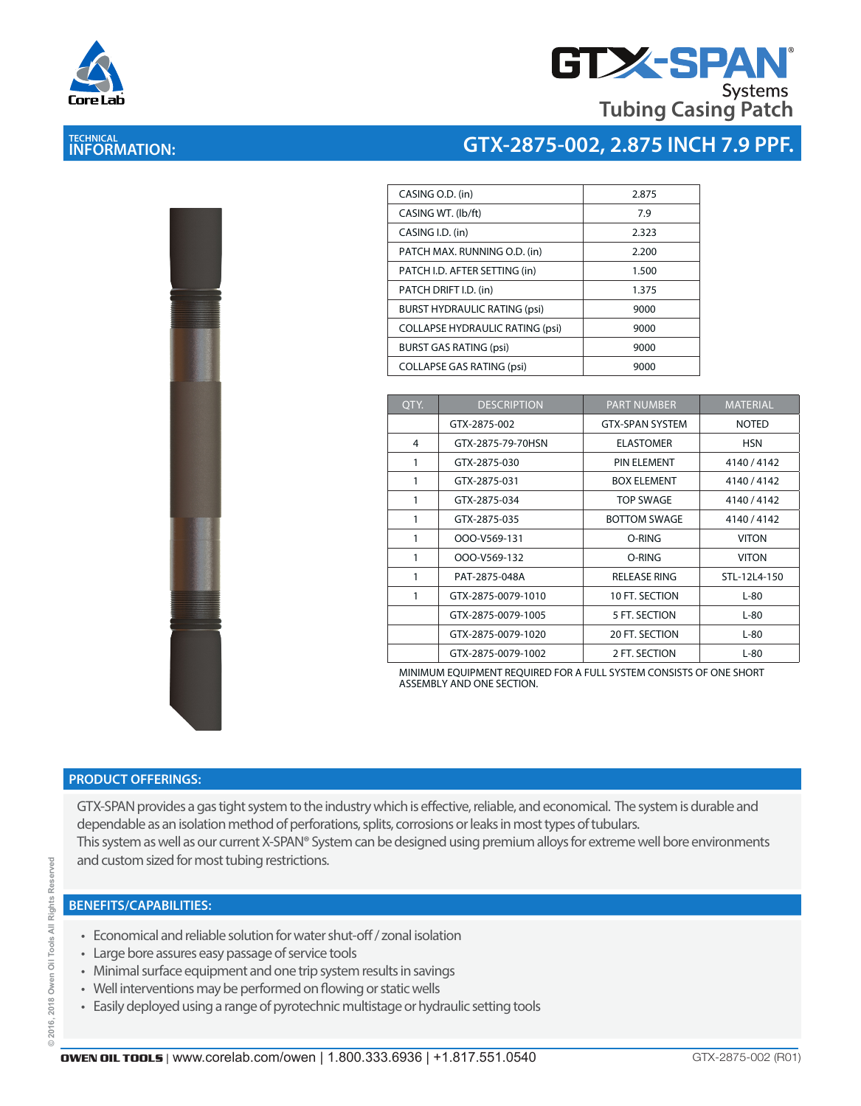

**TECHNICAL INFORMATION:** 

# **GTX-SPAN Tubing Casing Patch**

### **GTX-2875-002, 2.875 INCH 7.9 PPF.**

| l                 |    |  |
|-------------------|----|--|
|                   |    |  |
|                   |    |  |
|                   | l, |  |
|                   |    |  |
|                   |    |  |
| <b>CONTRACTOR</b> |    |  |
|                   |    |  |
|                   |    |  |

| CASING O.D. (in)                       | 2.875 |
|----------------------------------------|-------|
| CASING WT. (lb/ft)                     | 7.9   |
| CASING I.D. (in)                       | 2.323 |
| PATCH MAX. RUNNING O.D. (in)           | 2.200 |
| PATCH I.D. AFTER SETTING (in)          | 1.500 |
| PATCH DRIFT I.D. (in)                  | 1.375 |
| <b>BURST HYDRAULIC RATING (psi)</b>    | 9000  |
| <b>COLLAPSE HYDRAULIC RATING (psi)</b> | 9000  |
| <b>BURST GAS RATING (psi)</b>          | 9000  |
| <b>COLLAPSE GAS RATING (psi)</b>       | 9000  |
|                                        |       |

| QTY. | <b>DESCRIPTION</b> | <b>PART NUMBER</b>     | <b>MATERIAL</b> |
|------|--------------------|------------------------|-----------------|
|      | GTX-2875-002       | <b>GTX-SPAN SYSTEM</b> | <b>NOTED</b>    |
| 4    | GTX-2875-79-70HSN  | <b>ELASTOMER</b>       | <b>HSN</b>      |
| 1    | GTX-2875-030       | PIN ELEMENT            | 4140/4142       |
| 1    | GTX-2875-031       | <b>BOX ELEMENT</b>     | 4140/4142       |
| 1    | GTX-2875-034       | <b>TOP SWAGE</b>       | 4140 / 4142     |
| 1    | GTX-2875-035       | <b>BOTTOM SWAGE</b>    | 4140 / 4142     |
| 1    | OOO-V569-131       | O-RING                 | <b>VITON</b>    |
| 1    | OOO-V569-132       | O-RING                 | <b>VITON</b>    |
| 1    | PAT-2875-048A      | <b>RELEASE RING</b>    | STL-12L4-150    |
| 1    | GTX-2875-0079-1010 | 10 FT. SECTION         | L-80            |
|      | GTX-2875-0079-1005 | 5 FT. SECTION          | $L-80$          |
|      | GTX-2875-0079-1020 | 20 FT. SECTION         | $L-80$          |
|      | GTX-2875-0079-1002 | 2 FT. SECTION          | $L-80$          |

MINIMUM EQUIPMENT REQUIRED FOR A FULL SYSTEM CONSISTS OF ONE SHORT ASSEMBLY AND ONE SECTION.

#### **PRODUCT OFFERINGS:**

GTX-SPAN provides a gas tight system to the industry which is effective, reliable, and economical. The system is durable and dependable as an isolation method of perforations, splits, corrosions or leaks in most types of tubulars. This system as well as our current X-SPAN® System can be designed using premium alloys for extreme well bore environments and custom sized for most tubing restrictions.

#### **BENEFITS/CAPABILITIES:**

- Economical and reliable solution for water shut-off / zonal isolation
- Large bore assures easy passage of service tools
- Minimal surface equipment and one trip system results in savings
- Well interventions may be performed on flowing or static wells
- Easily deployed using a range of pyrotechnic multistage or hydraulic setting tools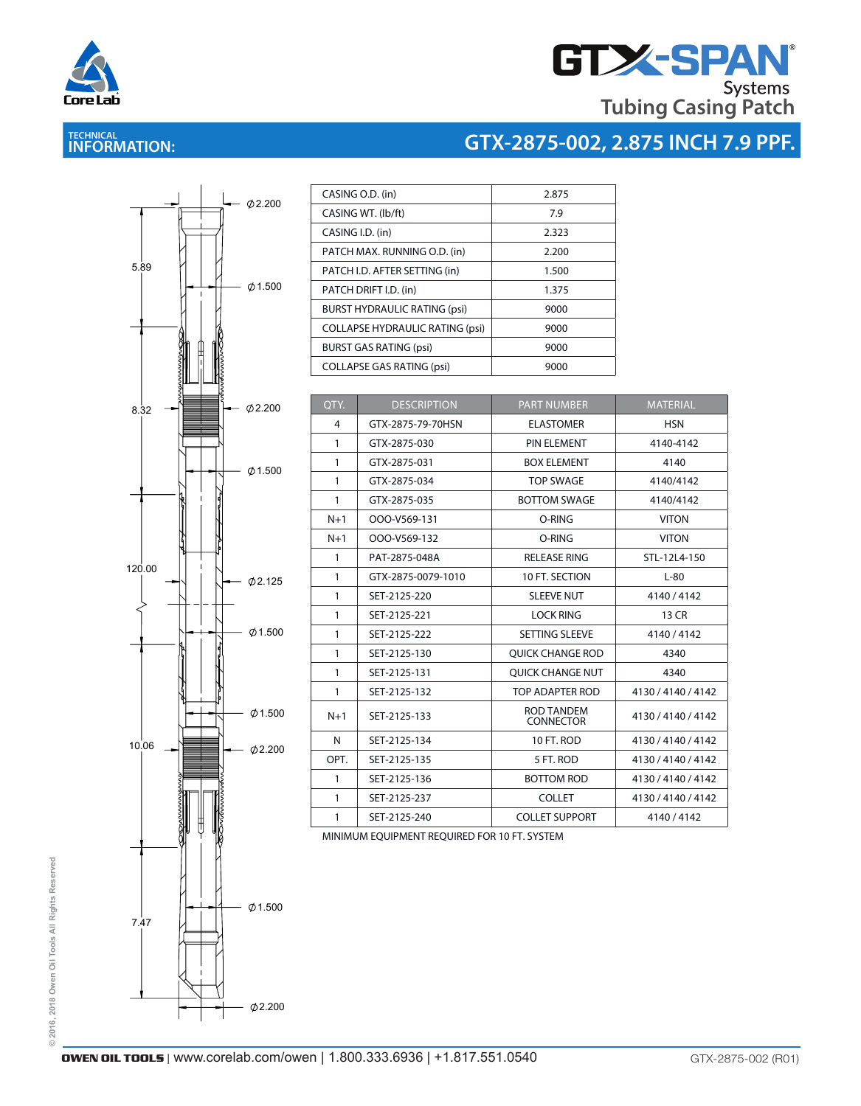

# **THE SPAN**<br>Tubing Casing Patch

## **TECHNICAL INFORMATION:**

# **GTX-2875-002, 2.875 INCH 7.9 PPF.**



| CASING O.D. (in)                       | 2.875 |
|----------------------------------------|-------|
| CASING WT. (lb/ft)                     | 7.9   |
| CASING I.D. (in)                       | 2.323 |
| PATCH MAX. RUNNING O.D. (in)           | 2.200 |
| PATCH I.D. AFTER SETTING (in)          | 1.500 |
| PATCH DRIFT I.D. (in)                  | 1.375 |
| <b>BURST HYDRAULIC RATING (psi)</b>    | 9000  |
| <b>COLLAPSE HYDRAULIC RATING (psi)</b> | 9000  |
| <b>BURST GAS RATING (psi)</b>          | 9000  |
| <b>COLLAPSE GAS RATING (psi)</b>       | 9000  |

| OTY.         | <b>DESCRIPTION</b> | <b>PART NUMBER</b>                    | <b>MATERIAL</b>    |
|--------------|--------------------|---------------------------------------|--------------------|
| 4            | GTX-2875-79-70HSN  | <b>ELASTOMER</b>                      | <b>HSN</b>         |
| $\mathbf{1}$ | GTX-2875-030       | PIN ELEMENT                           | 4140-4142          |
| $\mathbf{1}$ | GTX-2875-031       | <b>BOX ELEMENT</b>                    | 4140               |
| $\mathbf{1}$ | GTX-2875-034       | <b>TOP SWAGE</b>                      | 4140/4142          |
| 1            | GTX-2875-035       | <b>BOTTOM SWAGE</b>                   | 4140/4142          |
| $N+1$        | OOO-V569-131       | O-RING                                | <b>VITON</b>       |
| $N+1$        | OOO-V569-132       | O-RING                                | <b>VITON</b>       |
| $\mathbf{1}$ | PAT-2875-048A      | <b>RELEASE RING</b>                   | STL-12L4-150       |
| 1            | GTX-2875-0079-1010 | 10 FT. SECTION                        | $L-80$             |
| $\mathbf{1}$ | SET-2125-220       | <b>SLEEVE NUT</b>                     | 4140/4142          |
| $\mathbf{1}$ | SET-2125-221       | <b>LOCK RING</b>                      | 13 CR              |
| 1            | SET-2125-222       | SETTING SLEEVE                        | 4140/4142          |
| 1            | SET-2125-130       | <b>OUICK CHANGE ROD</b>               | 4340               |
| $\mathbf{1}$ | SET-2125-131       | <b>OUICK CHANGE NUT</b>               | 4340               |
| 1            | SET-2125-132       | TOP ADAPTER ROD                       | 4130 / 4140 / 4142 |
| $N+1$        | SET-2125-133       | <b>ROD TANDEM</b><br><b>CONNECTOR</b> | 4130 / 4140 / 4142 |
| N            | SET-2125-134       | 10 FT. ROD                            | 4130 / 4140 / 4142 |
| OPT.         | SET-2125-135       | 5 FT. ROD                             | 4130 / 4140 / 4142 |
| $\mathbf{1}$ | SET-2125-136       | <b>BOTTOM ROD</b>                     | 4130 / 4140 / 4142 |
| 1            | SET-2125-237       | <b>COLLET</b>                         | 4130 / 4140 / 4142 |
| 1            | SET-2125-240       | <b>COLLET SUPPORT</b>                 | 4140/4142          |

MINIMUM EQUIPMENT REQUIRED FOR 10 FT. SYSTEM